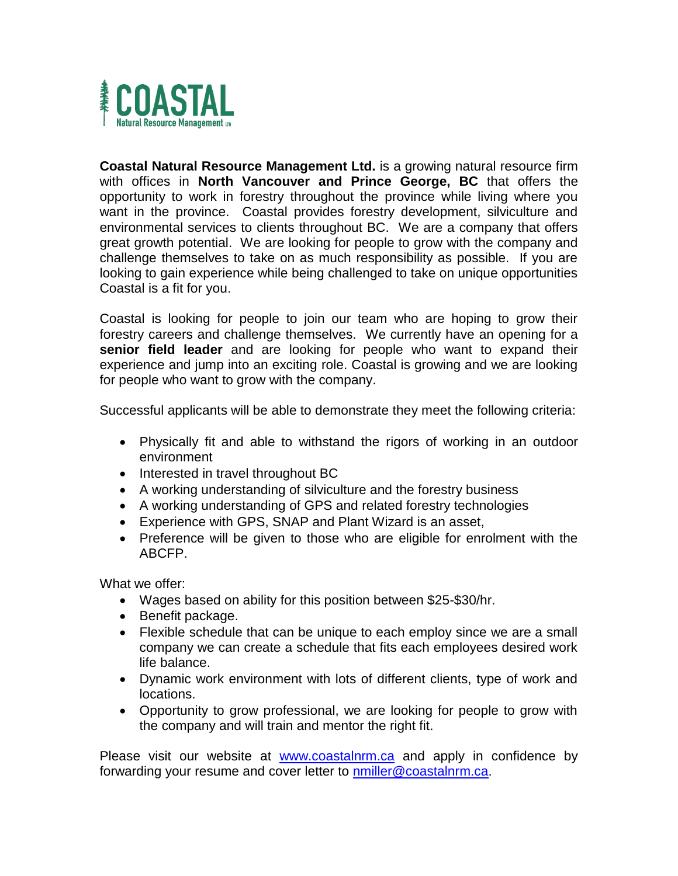

**Coastal Natural Resource Management Ltd.** is a growing natural resource firm with offices in **North Vancouver and Prince George, BC** that offers the opportunity to work in forestry throughout the province while living where you want in the province. Coastal provides forestry development, silviculture and environmental services to clients throughout BC. We are a company that offers great growth potential. We are looking for people to grow with the company and challenge themselves to take on as much responsibility as possible. If you are looking to gain experience while being challenged to take on unique opportunities Coastal is a fit for you.

Coastal is looking for people to join our team who are hoping to grow their forestry careers and challenge themselves. We currently have an opening for a **senior field leader** and are looking for people who want to expand their experience and jump into an exciting role. Coastal is growing and we are looking for people who want to grow with the company.

Successful applicants will be able to demonstrate they meet the following criteria:

- Physically fit and able to withstand the rigors of working in an outdoor environment
- Interested in travel throughout BC
- A working understanding of silviculture and the forestry business
- A working understanding of GPS and related forestry technologies
- Experience with GPS, SNAP and Plant Wizard is an asset,
- Preference will be given to those who are eligible for enrolment with the ABCFP.

What we offer:

- Wages based on ability for this position between \$25-\$30/hr.
- Benefit package.
- Flexible schedule that can be unique to each employ since we are a small company we can create a schedule that fits each employees desired work life balance.
- Dynamic work environment with lots of different clients, type of work and locations.
- Opportunity to grow professional, we are looking for people to grow with the company and will train and mentor the right fit.

Please visit our website at [www.coastalnrm.ca](http://www.coastalnrm.ca/) and apply in confidence by forwarding your resume and cover letter to **nmiller@coastalnrm.ca**.